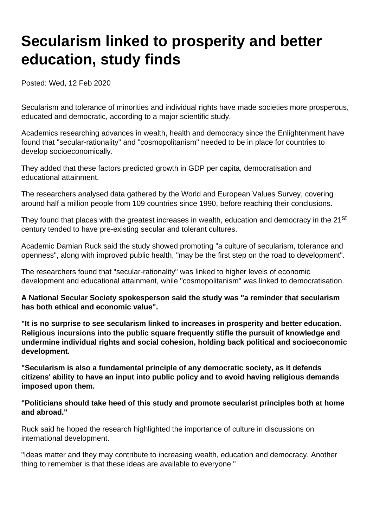## **Secularism linked to prosperity and better education, study finds**

Posted: Wed, 12 Feb 2020

Secularism and tolerance of minorities and individual rights have made societies more prosperous, educated and democratic, according to a major scientific study.

Academics researching advances in wealth, health and democracy since the Enlightenment have found that "secular-rationality" and "cosmopolitanism" needed to be in place for countries to develop socioeconomically.

They added that these factors predicted growth in GDP per capita, democratisation and educational attainment.

The researchers analysed data gathered by the World and European Values Survey, covering around half a million people from 109 countries since 1990, before reaching their conclusions.

They found that places with the greatest increases in wealth, education and democracy in the 21<sup>st</sup> century tended to have pre-existing secular and tolerant cultures.

Academic Damian Ruck said the study showed promoting "a culture of secularism, tolerance and openness", along with improved public health, "may be the first step on the road to development".

The researchers found that "secular-rationality" was linked to higher levels of economic development and educational attainment, while "cosmopolitanism" was linked to democratisation.

**A National Secular Society spokesperson said the study was "a reminder that secularism has both ethical and economic value".**

**"It is no surprise to see secularism linked to increases in prosperity and better education. Religious incursions into the public square frequently stifle the pursuit of knowledge and undermine individual rights and social cohesion, holding back political and socioeconomic development.**

**"Secularism is also a fundamental principle of any democratic society, as it defends citizens' ability to have an input into public policy and to avoid having religious demands imposed upon them.**

## **"Politicians should take heed of this study and promote secularist principles both at home and abroad."**

Ruck said he hoped the research highlighted the importance of culture in discussions on international development.

"Ideas matter and they may contribute to increasing wealth, education and democracy. Another thing to remember is that these ideas are available to everyone."